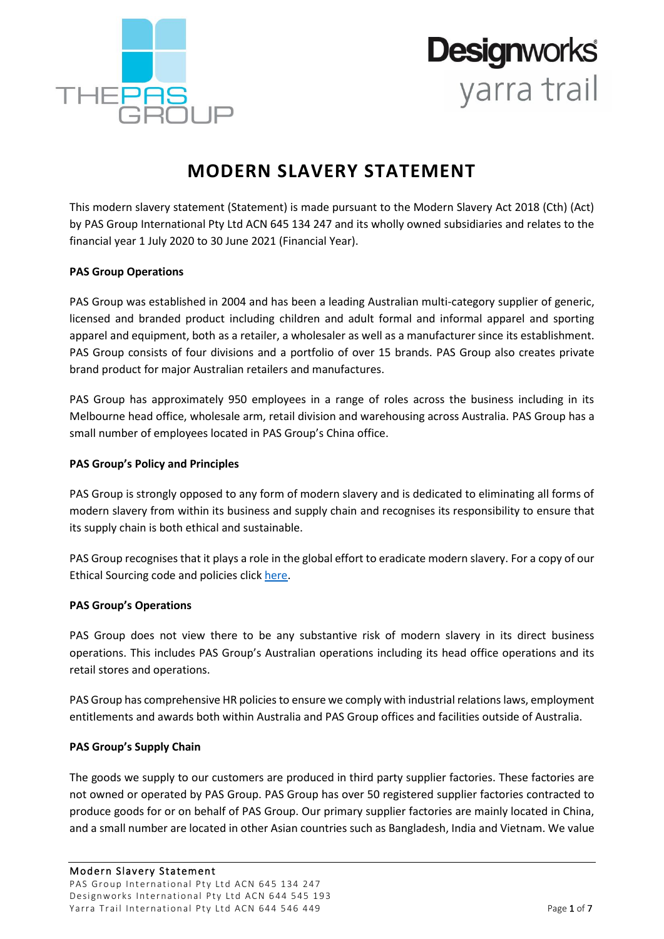

## **Designworks** yarra trail

### **MODERN SLAVERY STATEMENT**

This modern slavery statement (Statement) is made pursuant to the Modern Slavery Act 2018 (Cth) (Act) by PAS Group International Pty Ltd ACN 645 134 247 and its wholly owned subsidiaries and relates to the financial year 1 July 2020 to 30 June 2021 (Financial Year).

#### **PAS Group Operations**

PAS Group was established in 2004 and has been a leading Australian multi-category supplier of generic, licensed and branded product including children and adult formal and informal apparel and sporting apparel and equipment, both as a retailer, a wholesaler as well as a manufacturer since its establishment. PAS Group consists of four divisions and a portfolio of over 15 brands. PAS Group also creates private brand product for major Australian retailers and manufactures.

PAS Group has approximately 950 employees in a range of roles across the business including in its Melbourne head office, wholesale arm, retail division and warehousing across Australia. PAS Group has a small number of employees located in PAS Group's China office.

#### **PAS Group's Policy and Principles**

PAS Group is strongly opposed to any form of modern slavery and is dedicated to eliminating all forms of modern slavery from within its business and supply chain and recognises its responsibility to ensure that its supply chain is both ethical and sustainable.

PAS Group recognises that it plays a role in the global effort to eradicate modern slavery. For a copy of our Ethical Sourcing code and policies click [here.](https://thepasgroup.com.au/wp-content/uploads/2019/10/The-PAS-Group-Ethical-Sourcing-Code.pdf)

#### **PAS Group's Operations**

PAS Group does not view there to be any substantive risk of modern slavery in its direct business operations. This includes PAS Group's Australian operations including its head office operations and its retail stores and operations.

PAS Group has comprehensive HR policies to ensure we comply with industrial relations laws, employment entitlements and awards both within Australia and PAS Group offices and facilities outside of Australia.

#### **PAS Group's Supply Chain**

The goods we supply to our customers are produced in third party supplier factories. These factories are not owned or operated by PAS Group. PAS Group has over 50 registered supplier factories contracted to produce goods for or on behalf of PAS Group. Our primary supplier factories are mainly located in China, and a small number are located in other Asian countries such as Bangladesh, India and Vietnam. We value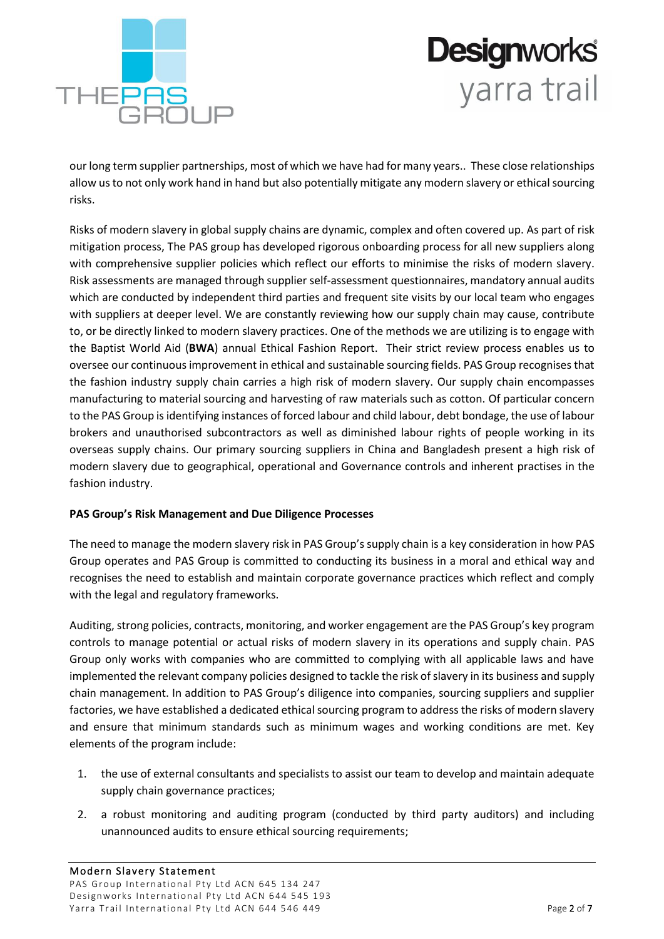

## **Designworks** yarra trail

our long term supplier partnerships, most of which we have had for many years.. These close relationships allow us to not only work hand in hand but also potentially mitigate any modern slavery or ethical sourcing risks.

Risks of modern slavery in global supply chains are dynamic, complex and often covered up. As part of risk mitigation process, The PAS group has developed rigorous onboarding process for all new suppliers along with comprehensive supplier policies which reflect our efforts to minimise the risks of modern slavery. Risk assessments are managed through supplier self-assessment questionnaires, mandatory annual audits which are conducted by independent third parties and frequent site visits by our local team who engages with suppliers at deeper level. We are constantly reviewing how our supply chain may cause, contribute to, or be directly linked to modern slavery practices. One of the methods we are utilizing is to engage with the Baptist World Aid (**BWA**) annual Ethical Fashion Report. Their strict review process enables us to oversee our continuous improvement in ethical and sustainable sourcing fields. PAS Group recognises that the fashion industry supply chain carries a high risk of modern slavery. Our supply chain encompasses manufacturing to material sourcing and harvesting of raw materials such as cotton. Of particular concern to the PAS Group is identifying instances of forced labour and child labour, debt bondage, the use of labour brokers and unauthorised subcontractors as well as diminished labour rights of people working in its overseas supply chains. Our primary sourcing suppliers in China and Bangladesh present a high risk of modern slavery due to geographical, operational and Governance controls and inherent practises in the fashion industry.

#### **PAS Group's Risk Management and Due Diligence Processes**

The need to manage the modern slavery risk in PAS Group's supply chain is a key consideration in how PAS Group operates and PAS Group is committed to conducting its business in a moral and ethical way and recognises the need to establish and maintain corporate governance practices which reflect and comply with the legal and regulatory frameworks.

Auditing, strong policies, contracts, monitoring, and worker engagement are the PAS Group's key program controls to manage potential or actual risks of modern slavery in its operations and supply chain. PAS Group only works with companies who are committed to complying with all applicable laws and have implemented the relevant company policies designed to tackle the risk of slavery in its business and supply chain management. In addition to PAS Group's diligence into companies, sourcing suppliers and supplier factories, we have established a dedicated ethical sourcing program to address the risks of modern slavery and ensure that minimum standards such as minimum wages and working conditions are met. Key elements of the program include:

- 1. the use of external consultants and specialists to assist our team to develop and maintain adequate supply chain governance practices;
- 2. a robust monitoring and auditing program (conducted by third party auditors) and including unannounced audits to ensure ethical sourcing requirements;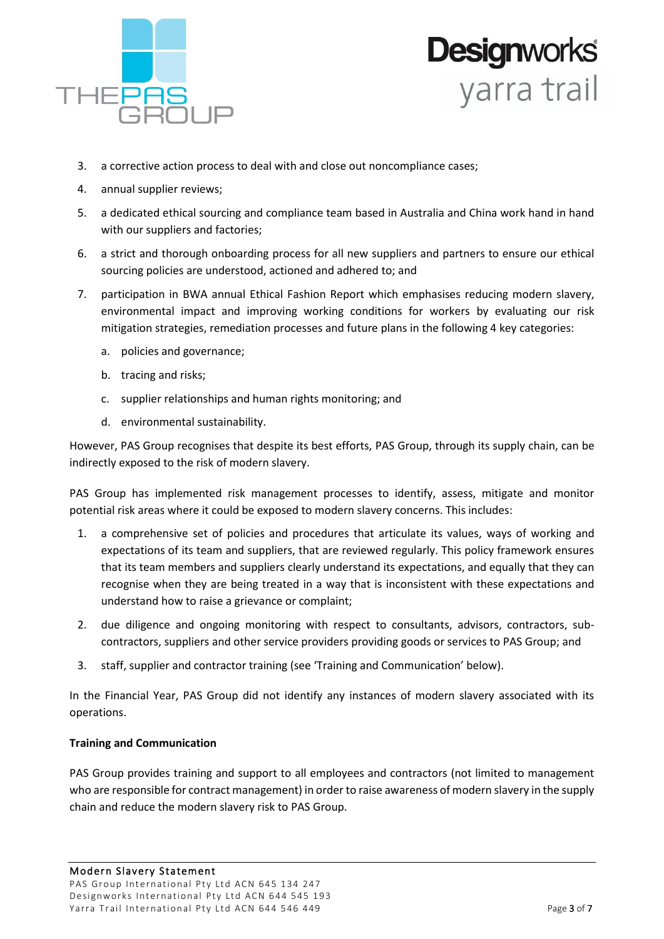

# **Designworks**<br>yarra trail

- 3. a corrective action process to deal with and close out noncompliance cases;
- 4. annual supplier reviews;
- 5. a dedicated ethical sourcing and compliance team based in Australia and China work hand in hand with our suppliers and factories;
- 6. a strict and thorough onboarding process for all new suppliers and partners to ensure our ethical sourcing policies are understood, actioned and adhered to; and
- 7. participation in BWA annual Ethical Fashion Report which emphasises reducing modern slavery, environmental impact and improving working conditions for workers by evaluating our risk mitigation strategies, remediation processes and future plans in the following 4 key categories:
	- a. policies and governance;
	- b. tracing and risks;
	- c. supplier relationships and human rights monitoring; and
	- d. environmental sustainability.

However, PAS Group recognises that despite its best efforts, PAS Group, through its supply chain, can be indirectly exposed to the risk of modern slavery.

PAS Group has implemented risk management processes to identify, assess, mitigate and monitor potential risk areas where it could be exposed to modern slavery concerns. This includes:

- 1. a comprehensive set of policies and procedures that articulate its values, ways of working and expectations of its team and suppliers, that are reviewed regularly. This policy framework ensures that its team members and suppliers clearly understand its expectations, and equally that they can recognise when they are being treated in a way that is inconsistent with these expectations and understand how to raise a grievance or complaint;
- 2. due diligence and ongoing monitoring with respect to consultants, advisors, contractors, subcontractors, suppliers and other service providers providing goods or services to PAS Group; and
- 3. staff, supplier and contractor training (see 'Training and Communication' below).

In the Financial Year, PAS Group did not identify any instances of modern slavery associated with its operations.

#### **Training and Communication**

PAS Group provides training and support to all employees and contractors (not limited to management who are responsible for contract management) in order to raise awareness of modern slavery in the supply chain and reduce the modern slavery risk to PAS Group.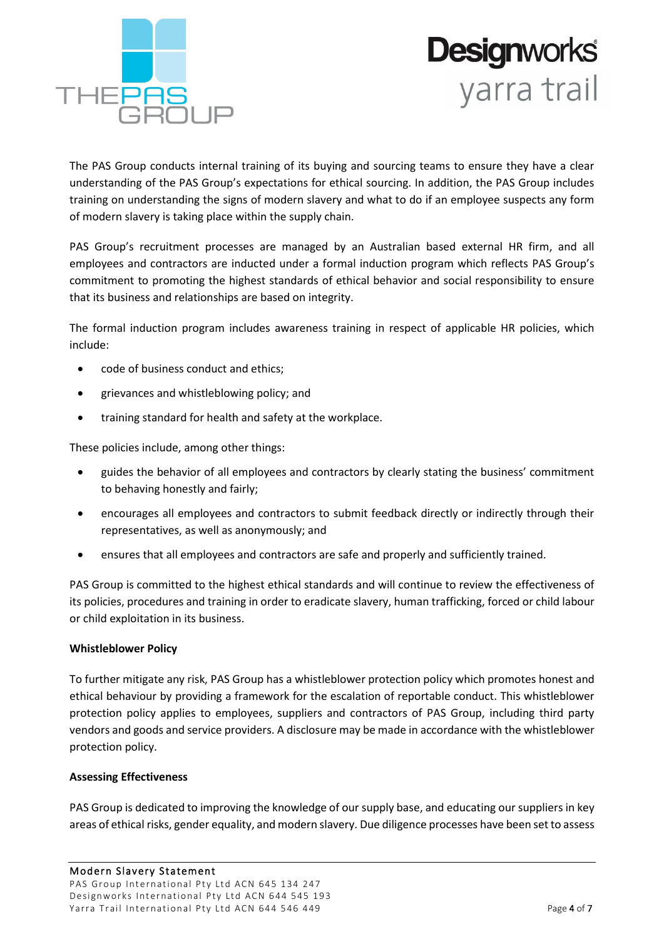



The PAS Group conducts internal training of its buying and sourcing teams to ensure they have a clear understanding of the PAS Group's expectations for ethical sourcing. In addition, the PAS Group includes training on understanding the signs of modern slavery and what to do if an employee suspects any form of modern slavery is taking place within the supply chain.

PAS Group's recruitment processes are managed by an Australian based external HR firm, and all employees and contractors are inducted under a formal induction program which reflects PAS Group's commitment to promoting the highest standards of ethical behavior and social responsibility to ensure that its business and relationships are based on integrity.

The formal induction program includes awareness training in respect of applicable HR policies, which include:

- code of business conduct and ethics;
- grievances and whistleblowing policy; and
- training standard for health and safety at the workplace.

These policies include, among other things:

- guides the behavior of all employees and contractors by clearly stating the business' commitment to behaving honestly and fairly;
- encourages all employees and contractors to submit feedback directly or indirectly through their representatives, as well as anonymously; and
- ensures that all employees and contractors are safe and properly and sufficiently trained.

PAS Group is committed to the highest ethical standards and will continue to review the effectiveness of its policies, procedures and training in order to eradicate slavery, human trafficking, forced or child labour or child exploitation in its business.

#### **Whistleblower Policy**

To further mitigate any risk, PAS Group has a whistleblower protection policy which promotes honest and ethical behaviour by providing a framework for the escalation of reportable conduct. This whistleblower protection policy applies to employees, suppliers and contractors of PAS Group, including third party vendors and goods and service providers. A disclosure may be made in accordance with the whistleblower protection policy.

#### **Assessing Effectiveness**

PAS Group is dedicated to improving the knowledge of our supply base, and educating our suppliers in key areas of ethical risks, gender equality, and modern slavery. Due diligence processes have been set to assess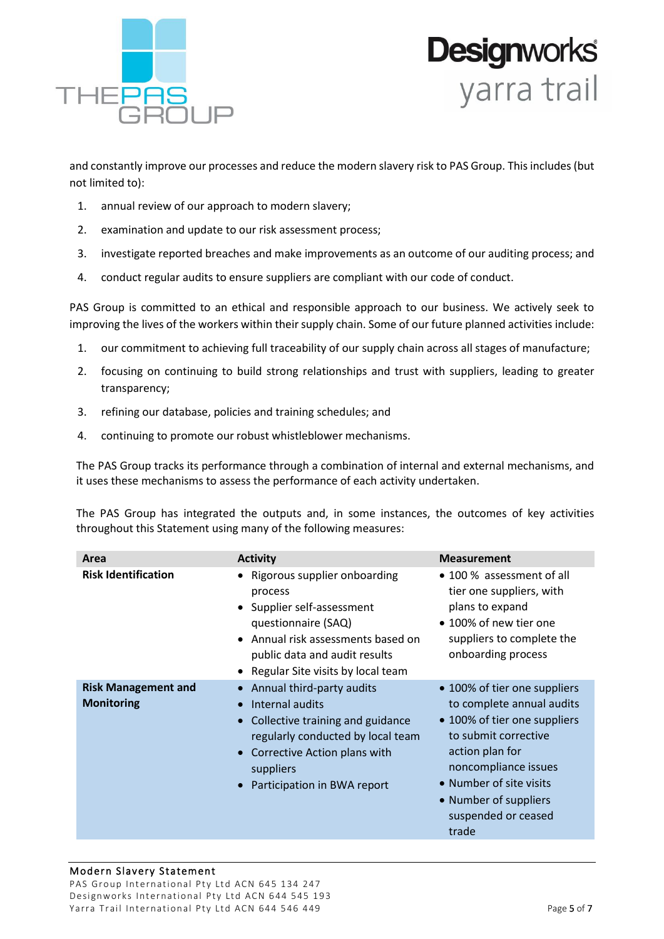

## **Designworks**<br>yarra trail

and constantly improve our processes and reduce the modern slavery risk to PAS Group. This includes (but not limited to):

- 1. annual review of our approach to modern slavery;
- 2. examination and update to our risk assessment process;
- 3. investigate reported breaches and make improvements as an outcome of our auditing process; and
- 4. conduct regular audits to ensure suppliers are compliant with our code of conduct.

PAS Group is committed to an ethical and responsible approach to our business. We actively seek to improving the lives of the workers within their supply chain. Some of our future planned activities include:

- 1. our commitment to achieving full traceability of our supply chain across all stages of manufacture;
- 2. focusing on continuing to build strong relationships and trust with suppliers, leading to greater transparency;
- 3. refining our database, policies and training schedules; and
- 4. continuing to promote our robust whistleblower mechanisms.

The PAS Group tracks its performance through a combination of internal and external mechanisms, and it uses these mechanisms to assess the performance of each activity undertaken.

The PAS Group has integrated the outputs and, in some instances, the outcomes of key activities throughout this Statement using many of the following measures:

| Area                                            | <b>Activity</b>                                                                                                                                                                                              | <b>Measurement</b>                                                                                                                                                                                                                               |
|-------------------------------------------------|--------------------------------------------------------------------------------------------------------------------------------------------------------------------------------------------------------------|--------------------------------------------------------------------------------------------------------------------------------------------------------------------------------------------------------------------------------------------------|
| <b>Risk Identification</b>                      | • Rigorous supplier onboarding<br>process<br>• Supplier self-assessment<br>questionnaire (SAQ)<br>• Annual risk assessments based on<br>public data and audit results<br>• Regular Site visits by local team | • 100 % assessment of all<br>tier one suppliers, with<br>plans to expand<br>• 100% of new tier one<br>suppliers to complete the<br>onboarding process                                                                                            |
| <b>Risk Management and</b><br><b>Monitoring</b> | Annual third-party audits<br>Internal audits<br>Collective training and guidance<br>regularly conducted by local team<br>Corrective Action plans with<br>suppliers<br>Participation in BWA report            | • 100% of tier one suppliers<br>to complete annual audits<br>• 100% of tier one suppliers<br>to submit corrective<br>action plan for<br>noncompliance issues<br>• Number of site visits<br>• Number of suppliers<br>suspended or ceased<br>trade |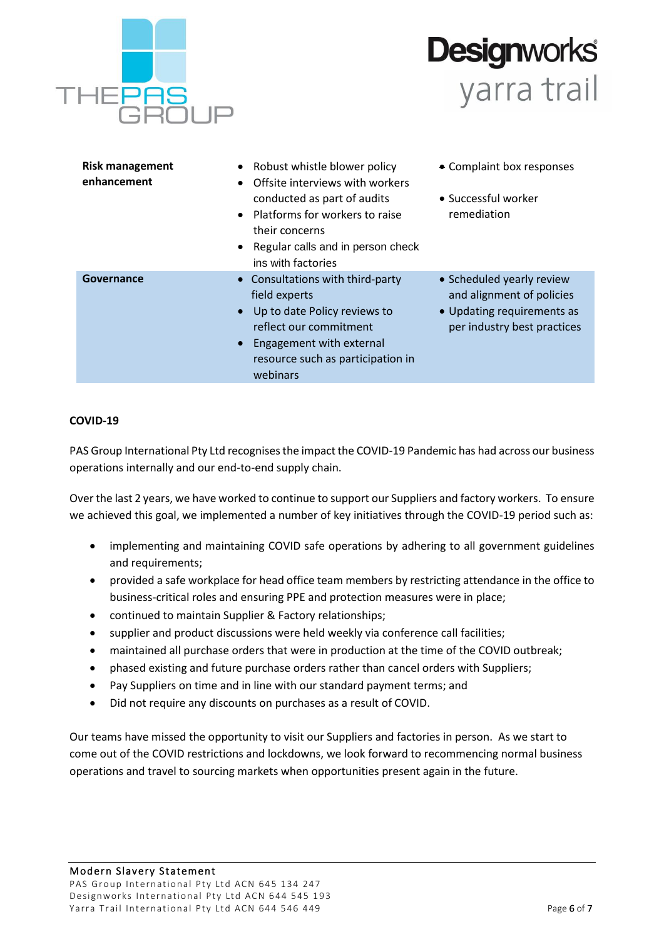

## **Designworks** yarra trail

| <b>Risk management</b><br>enhancement | Robust whistle blower policy<br>Offsite interviews with workers<br>conducted as part of audits<br>Platforms for workers to raise<br>their concerns<br>• Regular calls and in person check<br>ins with factories | • Complaint box responses<br>• Successful worker<br>remediation                                                     |
|---------------------------------------|-----------------------------------------------------------------------------------------------------------------------------------------------------------------------------------------------------------------|---------------------------------------------------------------------------------------------------------------------|
| Governance                            | Consultations with third-party<br>field experts<br>Up to date Policy reviews to<br>reflect our commitment<br>Engagement with external<br>resource such as participation in<br>webinars                          | • Scheduled yearly review<br>and alignment of policies<br>• Updating requirements as<br>per industry best practices |

#### **COVID-19**

PAS Group International Pty Ltd recognises the impact the COVID-19 Pandemic has had across our business operations internally and our end-to-end supply chain.

Over the last 2 years, we have worked to continue to support our Suppliers and factory workers. To ensure we achieved this goal, we implemented a number of key initiatives through the COVID-19 period such as:

- implementing and maintaining COVID safe operations by adhering to all government guidelines and requirements;
- provided a safe workplace for head office team members by restricting attendance in the office to business-critical roles and ensuring PPE and protection measures were in place;
- continued to maintain Supplier & Factory relationships;
- supplier and product discussions were held weekly via conference call facilities;
- maintained all purchase orders that were in production at the time of the COVID outbreak;
- phased existing and future purchase orders rather than cancel orders with Suppliers;
- Pay Suppliers on time and in line with our standard payment terms; and
- Did not require any discounts on purchases as a result of COVID.

Our teams have missed the opportunity to visit our Suppliers and factories in person. As we start to come out of the COVID restrictions and lockdowns, we look forward to recommencing normal business operations and travel to sourcing markets when opportunities present again in the future.